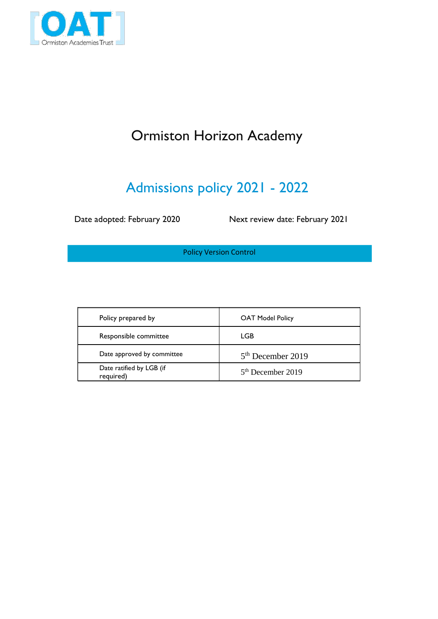

# Ormiston Horizon Academy

# Admissions policy 2021 - 2022

Date adopted: February 2020 Next review date: February 2021

Policy Version Control

| Policy prepared by                    | <b>OAT Model Policy</b> |
|---------------------------------------|-------------------------|
| Responsible committee                 | LGB                     |
| Date approved by committee            | $5th$ December 2019     |
| Date ratified by LGB (if<br>required) | $5th$ December 2019     |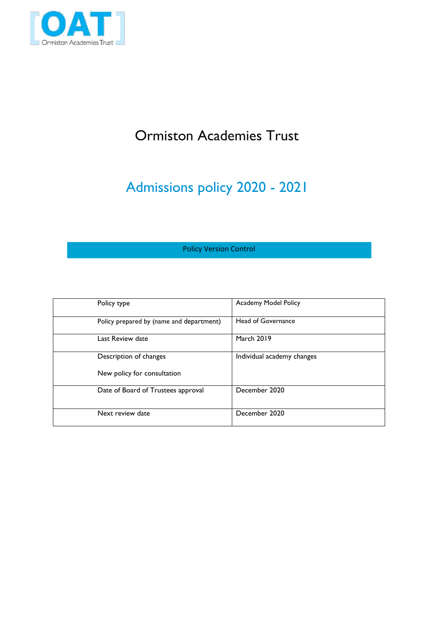

## Ormiston Academies Trust

# Admissions policy 2020 - 2021

### Policy Version Control

| Policy type                              | Academy Model Policy       |
|------------------------------------------|----------------------------|
| Policy prepared by (name and department) | Head of Governance         |
| Last Review date                         | <b>March 2019</b>          |
| Description of changes                   | Individual academy changes |
| New policy for consultation              |                            |
| Date of Board of Trustees approval       | December 2020              |
| Next review date                         | December 2020              |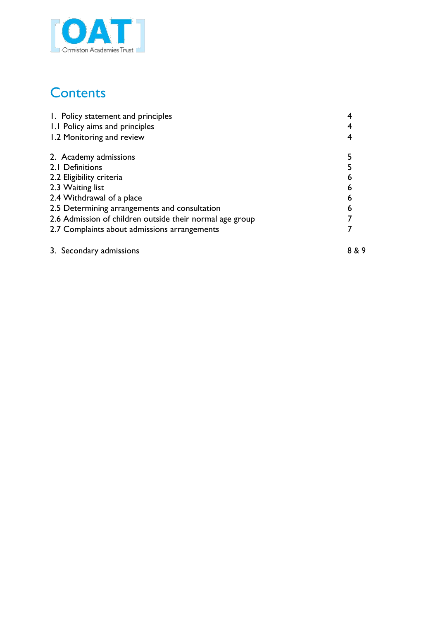

## **Contents**

| 1. Policy statement and principles                       |     |
|----------------------------------------------------------|-----|
| 1.1 Policy aims and principles                           |     |
| 1.2 Monitoring and review                                |     |
| 2. Academy admissions                                    |     |
| 2.1 Definitions                                          |     |
| 2.2 Eligibility criteria                                 | 6   |
| 2.3 Waiting list                                         | 6   |
| 2.4 Withdrawal of a place                                | 6   |
| 2.5 Determining arrangements and consultation            | 6   |
| 2.6 Admission of children outside their normal age group |     |
| 2.7 Complaints about admissions arrangements             |     |
| 3. Secondary admissions                                  | 8&9 |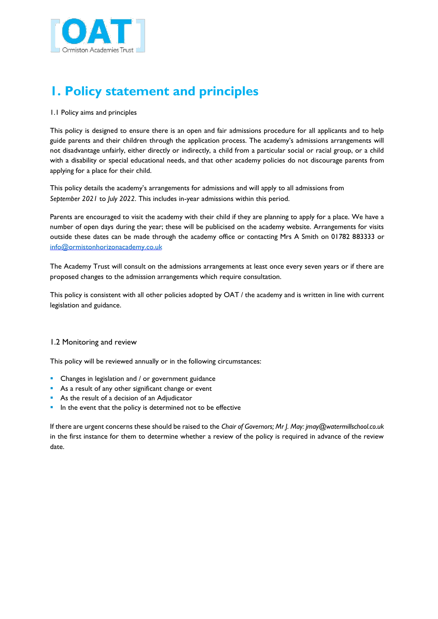

## **1. Policy statement and principles**

#### 1.1 Policy aims and principles

This policy is designed to ensure there is an open and fair admissions procedure for all applicants and to help guide parents and their children through the application process. The academy's admissions arrangements will not disadvantage unfairly, either directly or indirectly, a child from a particular social or racial group, or a child with a disability or special educational needs, and that other academy policies do not discourage parents from applying for a place for their child.

This policy details the academy's arrangements for admissions and will apply to all admissions from *September 2021* to *July 2022*. This includes in-year admissions within this period.

Parents are encouraged to visit the academy with their child if they are planning to apply for a place. We have a number of open days during the year; these will be publicised on the academy website. Arrangements for visits outside these dates can be made through the academy office or contacting Mrs A Smith on 01782 883333 or info@ormistonhorizonacademy.co.uk

The Academy Trust will consult on the admissions arrangements at least once every seven years or if there are proposed changes to the admission arrangements which require consultation.

This policy is consistent with all other policies adopted by OAT / the academy and is written in line with current legislation and guidance.

#### 1.2 Monitoring and review

This policy will be reviewed annually or in the following circumstances:

- **•** Changes in legislation and / or government guidance
- As a result of any other significant change or event
- As the result of a decision of an Adjudicator
- In the event that the policy is determined not to be effective

If there are urgent concerns these should be raised to the *Chair of Governors; Mr J. May: jmay@watermillschool.co.uk* in the first instance for them to determine whether a review of the policy is required in advance of the review date.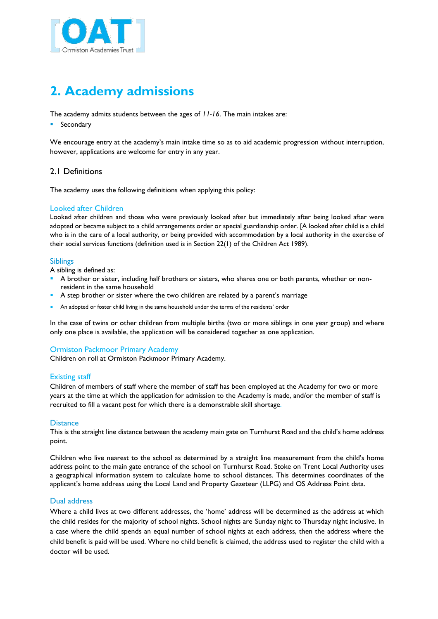

## **2. Academy admissions**

The academy admits students between the ages of *11-16*. The main intakes are:

#### **•** Secondary

We encourage entry at the academy's main intake time so as to aid academic progression without interruption, however, applications are welcome for entry in any year.

#### 2.1 Definitions

The academy uses the following definitions when applying this policy:

#### Looked after Children

Looked after children and those who were previously looked after but immediately after being looked after were adopted or became subject to a child arrangements order or special guardianship order. [A looked after child is a child who is in the care of a local authority, or being provided with accommodation by a local authority in the exercise of their social services functions (definition used is in Section 22(1) of the Children Act 1989).

#### Siblings

A sibling is defined as:

- A brother or sister, including half brothers or sisters, who shares one or both parents, whether or nonresident in the same household
- A step brother or sister where the two children are related by a parent's marriage
- An adopted or foster child living in the same household under the terms of the residents' order

In the case of twins or other children from multiple births (two or more siblings in one year group) and where only one place is available, the application will be considered together as one application.

#### Ormiston Packmoor Primary Academy

Children on roll at Ormiston Packmoor Primary Academy.

#### Existing staff

Children of members of staff where the member of staff has been employed at the Academy for two or more years at the time at which the application for admission to the Academy is made, and/or the member of staff is recruited to fill a vacant post for which there is a demonstrable skill shortage.

#### **Distance**

This is the straight line distance between the academy main gate on Turnhurst Road and the child's home address point.

Children who live nearest to the school as determined by a straight line measurement from the child's home address point to the main gate entrance of the school on Turnhurst Road. Stoke on Trent Local Authority uses a geographical information system to calculate home to school distances. This determines coordinates of the applicant's home address using the Local Land and Property Gazeteer (LLPG) and OS Address Point data.

#### Dual address

Where a child lives at two different addresses, the 'home' address will be determined as the address at which the child resides for the majority of school nights. School nights are Sunday night to Thursday night inclusive. In a case where the child spends an equal number of school nights at each address, then the address where the child benefit is paid will be used. Where no child benefit is claimed, the address used to register the child with a doctor will be used.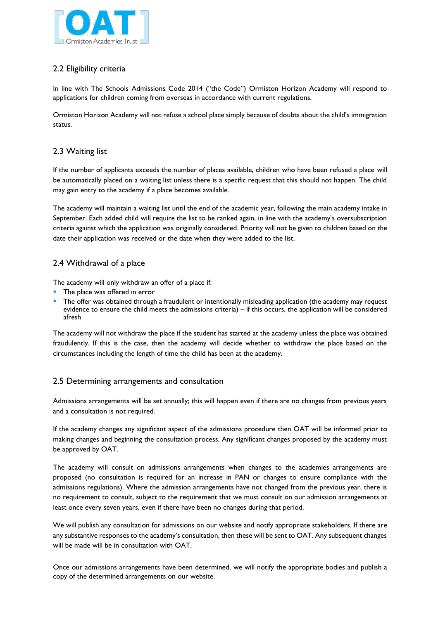

## 2.2 Eligibility criteria

In line with The Schools Admissions Code 2014 ("the Code") Ormiston Horizon Academy will respond to applications for children coming from overseas in accordance with current regulations.

Ormiston Horizon Academy will not refuse a school place simply because of doubts about the child's immigration status.

### 2.3 Waiting list

If the number of applicants exceeds the number of places available, children who have been refused a place will be automatically placed on a waiting list unless there is a specific request that this should not happen. The child may gain entry to the academy if a place becomes available.

The academy will maintain a waiting list until the end of the academic year, following the main academy intake in September. Each added child will require the list to be ranked again, in line with the academy's oversubscription criteria against which the application was originally considered. Priority will not be given to children based on the date their application was received or the date when they were added to the list.

### 2.4 Withdrawal of a place

The academy will only withdraw an offer of a place if:

- The place was offered in error
- The offer was obtained through a fraudulent or intentionally misleading application (the academy may request evidence to ensure the child meets the admissions criteria) – if this occurs, the application will be considered afresh

The academy will not withdraw the place if the student has started at the academy unless the place was obtained fraudulently. If this is the case, then the academy will decide whether to withdraw the place based on the circumstances including the length of time the child has been at the academy.

### 2.5 Determining arrangements and consultation

Admissions arrangements will be set annually; this will happen even if there are no changes from previous years and a consultation is not required.

If the academy changes any significant aspect of the admissions procedure then OAT will be informed prior to making changes and beginning the consultation process. Any significant changes proposed by the academy must be approved by OAT.

The academy will consult on admissions arrangements when changes to the academies arrangements are proposed (no consultation is required for an increase in PAN or changes to ensure compliance with the admissions regulations). Where the admission arrangements have not changed from the previous year, there is no requirement to consult, subject to the requirement that we must consult on our admission arrangements at least once every seven years, even if there have been no changes during that period.

We will publish any consultation for admissions on our website and notify appropriate stakeholders. If there are any substantive responses to the academy's consultation, then these will be sent to OAT. Any subsequent changes will be made will be in consultation with OAT.

Once our admissions arrangements have been determined, we will notify the appropriate bodies and publish a copy of the determined arrangements on our website.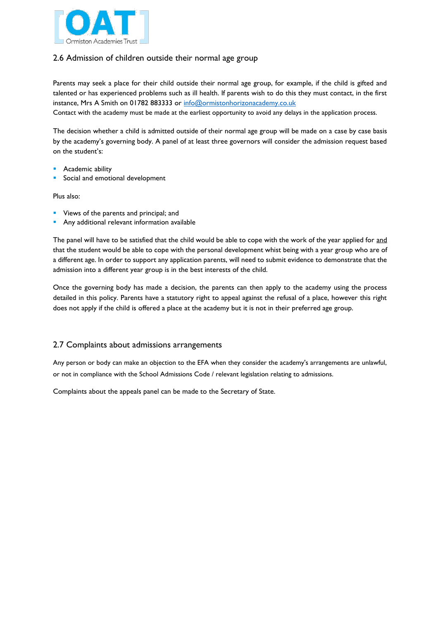

### 2.6 Admission of children outside their normal age group

Parents may seek a place for their child outside their normal age group, for example, if the child is gifted and talented or has experienced problems such as ill health. If parents wish to do this they must contact, in the first instance, Mrs A Smith on 01782 883333 or info@ormistonhorizonacademy.co.uk

Contact with the academy must be made at the earliest opportunity to avoid any delays in the application process.

The decision whether a child is admitted outside of their normal age group will be made on a case by case basis by the academy's governing body. A panel of at least three governors will consider the admission request based on the student's:

- Academic ability
- Social and emotional development

Plus also:

- **•** Views of the parents and principal; and
- **Any additional relevant information available**

The panel will have to be satisfied that the child would be able to cope with the work of the year applied for and that the student would be able to cope with the personal development whist being with a year group who are of a different age. In order to support any application parents, will need to submit evidence to demonstrate that the admission into a different year group is in the best interests of the child.

Once the governing body has made a decision, the parents can then apply to the academy using the process detailed in this policy. Parents have a statutory right to appeal against the refusal of a place, however this right does not apply if the child is offered a place at the academy but it is not in their preferred age group.

#### 2.7 Complaints about admissions arrangements

Any person or body can make an objection to the EFA when they consider the academy's arrangements are unlawful, or not in compliance with the School Admissions Code / relevant legislation relating to admissions.

Complaints about the appeals panel can be made to the Secretary of State.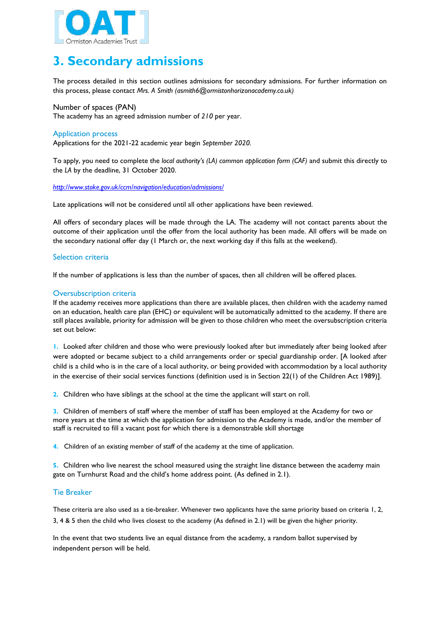

## **3. Secondary admissions**

The process detailed in this section outlines admissions for secondary admissions. For further information on this process, please contact *Mrs. A Smith (asmith6@ormistonhorizonacademy.co.uk)*

Number of spaces (PAN) The academy has an agreed admission number of *210* per year.

#### Application process

Applications for the 2021-22 academic year begin *September 2020.*

To apply, you need to complete the *local authority's (LA) common application form (CAF)* and submit this directly to the *LA* by the deadline, 31 October 2020.

*http://www.stoke.gov.uk/ccm/navigation/education/admissions/*

Late applications will not be considered until all other applications have been reviewed.

All offers of secondary places will be made through the LA. The academy will not contact parents about the outcome of their application until the offer from the local authority has been made. All offers will be made on the secondary national offer day (1 March or, the next working day if this falls at the weekend).

#### Selection criteria

If the number of applications is less than the number of spaces, then all children will be offered places.

#### Oversubscription criteria

If the academy receives more applications than there are available places, then children with the academy named on an education, health care plan (EHC) or equivalent will be automatically admitted to the academy. If there are still places available, priority for admission will be given to those children who meet the oversubscription criteria set out below:

**1.** Looked after children and those who were previously looked after but immediately after being looked after were adopted or became subject to a child arrangements order or special guardianship order. [A looked after child is a child who is in the care of a local authority, or being provided with accommodation by a local authority in the exercise of their social services functions (definition used is in Section 22(1) of the Children Act 1989)].

**2.** Children who have siblings at the school at the time the applicant will start on roll.

**3.** Children of members of staff where the member of staff has been employed at the Academy for two or more years at the time at which the application for admission to the Academy is made, and/or the member of staff is recruited to fill a vacant post for which there is a demonstrable skill shortage

**4.** Children of an existing member of staff of the academy at the time of application.

**5.** Children who live nearest the school measured using the straight line distance between the academy main gate on Turnhurst Road and the child's home address point. (As defined in 2.1).

#### Tie Breaker

These criteria are also used as a tie-breaker. Whenever two applicants have the same priority based on criteria 1, 2, 3, 4 & 5 then the child who lives closest to the academy (As defined in 2.1) will be given the higher priority.

In the event that two students live an equal distance from the academy, a random ballot supervised by independent person will be held.